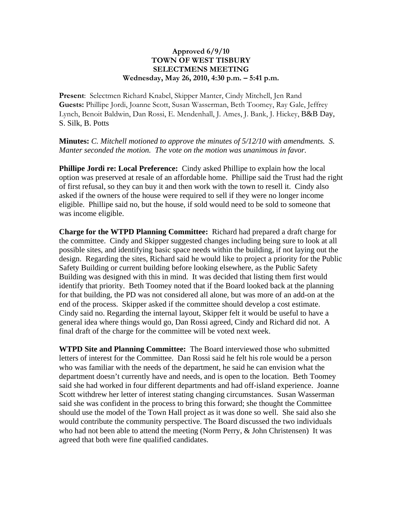## **Approved 6/9/10 TOWN OF WEST TISBURY SELECTMENS MEETING Wednesday, May 26, 2010, 4:30 p.m. – 5:41 p.m.**

**Present**: Selectmen Richard Knabel, Skipper Manter, Cindy Mitchell, Jen Rand **Guests:** Phillipe Jordi, Joanne Scott, Susan Wasserman, Beth Toomey, Ray Gale, Jeffrey Lynch, Benoit Baldwin, Dan Rossi, E. Mendenhall, J. Ames, J. Bank, J. Hickey, B&B Day, S. Silk, B. Potts

**Minutes:** *C. Mitchell motioned to approve the minutes of 5/12/10 with amendments. S. Manter seconded the motion. The vote on the motion was unanimous in favor.*

**Phillipe Jordi re: Local Preference:** Cindy asked Phillipe to explain how the local option was preserved at resale of an affordable home. Phillipe said the Trust had the right of first refusal, so they can buy it and then work with the town to resell it. Cindy also asked if the owners of the house were required to sell if they were no longer income eligible. Phillipe said no, but the house, if sold would need to be sold to someone that was income eligible.

**Charge for the WTPD Planning Committee:** Richard had prepared a draft charge for the committee. Cindy and Skipper suggested changes including being sure to look at all possible sites, and identifying basic space needs within the building, if not laying out the design. Regarding the sites, Richard said he would like to project a priority for the Public Safety Building or current building before looking elsewhere, as the Public Safety Building was designed with this in mind. It was decided that listing them first would identify that priority. Beth Toomey noted that if the Board looked back at the planning for that building, the PD was not considered all alone, but was more of an add-on at the end of the process. Skipper asked if the committee should develop a cost estimate. Cindy said no. Regarding the internal layout, Skipper felt it would be useful to have a general idea where things would go, Dan Rossi agreed, Cindy and Richard did not. A final draft of the charge for the committee will be voted next week.

**WTPD Site and Planning Committee:** The Board interviewed those who submitted letters of interest for the Committee. Dan Rossi said he felt his role would be a person who was familiar with the needs of the department, he said he can envision what the department doesn't currently have and needs, and is open to the location. Beth Toomey said she had worked in four different departments and had off-island experience. Joanne Scott withdrew her letter of interest stating changing circumstances. Susan Wasserman said she was confident in the process to bring this forward; she thought the Committee should use the model of the Town Hall project as it was done so well. She said also she would contribute the community perspective. The Board discussed the two individuals who had not been able to attend the meeting (Norm Perry, & John Christensen) It was agreed that both were fine qualified candidates.